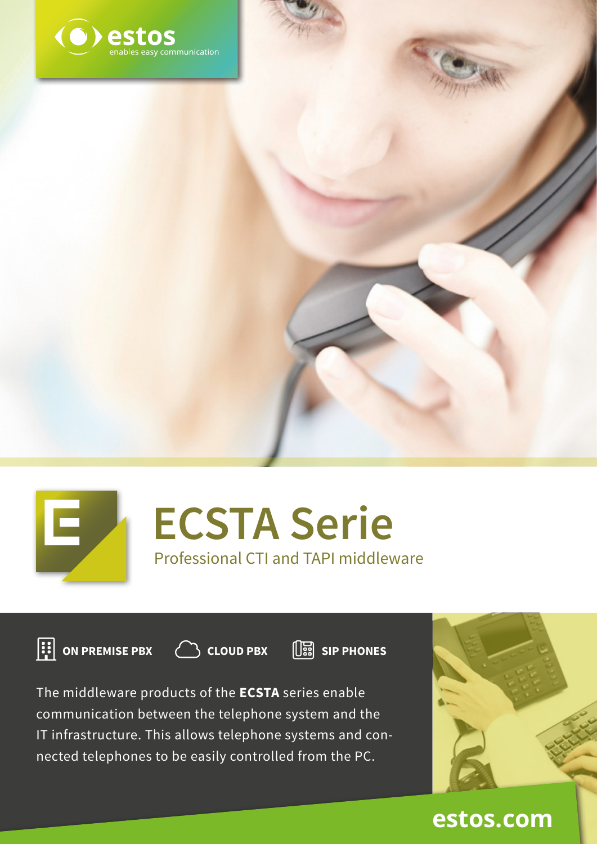





# **ECSTA Serie**

Professional CTI and TAPI middleware

**CLOUD PBX**  $\begin{bmatrix} \vdots \\ \vdots \end{bmatrix}$  ON PREMISE PBX  $\begin{bmatrix} \vdots \\ \vdots \end{bmatrix}$  CLOUD PBX  $\begin{bmatrix} \vdots \\ \vdots \end{bmatrix}$  SIP PHONES

The middleware products of the **ECSTA** series enable communication between the telephone system and the IT infrastructure. This allows telephone systems and connected telephones to be easily controlled from the PC.



**estos.com**